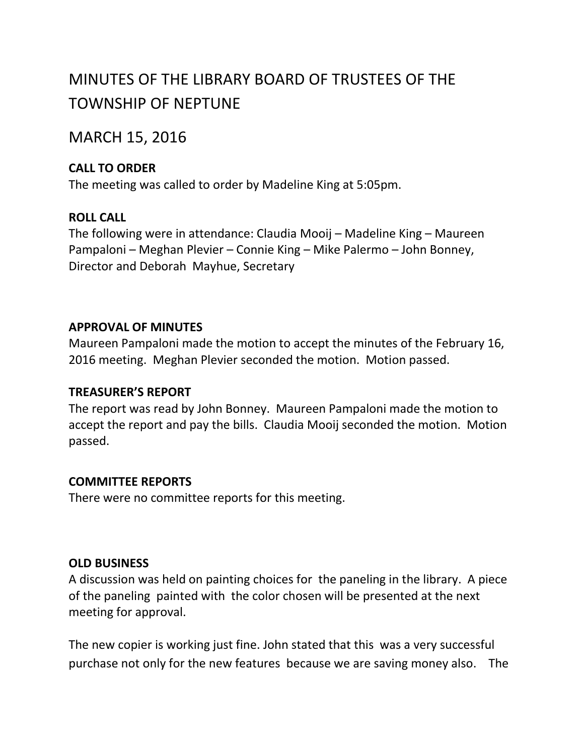# MINUTES OF THE LIBRARY BOARD OF TRUSTEES OF THE TOWNSHIP OF NEPTUNE

## MARCH 15, 2016

## **CALL TO ORDER**

The meeting was called to order by Madeline King at 5:05pm.

## **ROLL CALL**

The following were in attendance: Claudia Mooij – Madeline King – Maureen Pampaloni – Meghan Plevier – Connie King – Mike Palermo – John Bonney, Director and Deborah Mayhue, Secretary

## **APPROVAL OF MINUTES**

Maureen Pampaloni made the motion to accept the minutes of the February 16, 2016 meeting. Meghan Plevier seconded the motion. Motion passed.

### **TREASURER'S REPORT**

The report was read by John Bonney. Maureen Pampaloni made the motion to accept the report and pay the bills. Claudia Mooij seconded the motion. Motion passed.

## **COMMITTEE REPORTS**

There were no committee reports for this meeting.

### **OLD BUSINESS**

A discussion was held on painting choices for the paneling in the library. A piece of the paneling painted with the color chosen will be presented at the next meeting for approval.

The new copier is working just fine. John stated that this was a very successful purchase not only for the new features because we are saving money also. The